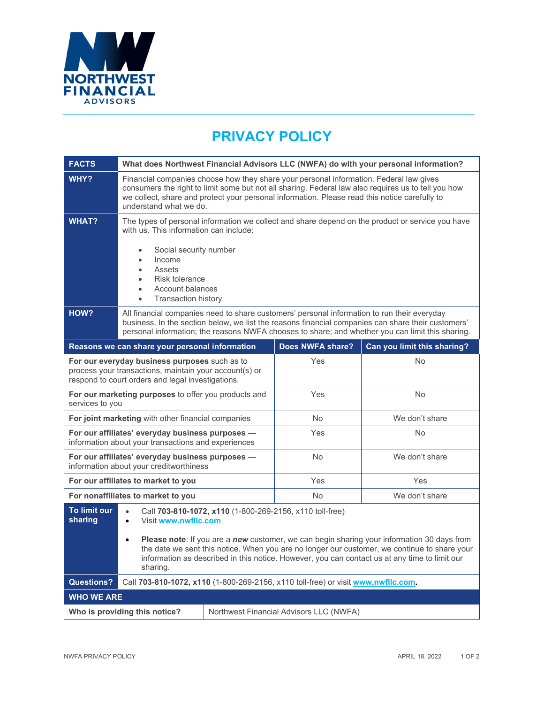

## **PRIVACY POLICY**

| <b>FACTS</b>                                                                                                                                                 | What does Northwest Financial Advisors LLC (NWFA) do with your personal information?                                                                                                                                                                                                                                                                                                                                               |           |                  |                             |
|--------------------------------------------------------------------------------------------------------------------------------------------------------------|------------------------------------------------------------------------------------------------------------------------------------------------------------------------------------------------------------------------------------------------------------------------------------------------------------------------------------------------------------------------------------------------------------------------------------|-----------|------------------|-----------------------------|
| WHY?                                                                                                                                                         | Financial companies choose how they share your personal information. Federal law gives<br>consumers the right to limit some but not all sharing. Federal law also requires us to tell you how<br>we collect, share and protect your personal information. Please read this notice carefully to<br>understand what we do.                                                                                                           |           |                  |                             |
| <b>WHAT?</b>                                                                                                                                                 | The types of personal information we collect and share depend on the product or service you have<br>with us. This information can include:<br>Social security number<br>Income<br>$\bullet$<br>Assets<br>$\bullet$<br>Risk tolerance<br><b>Account balances</b><br>$\bullet$<br><b>Transaction history</b>                                                                                                                         |           |                  |                             |
| HOW?                                                                                                                                                         | All financial companies need to share customers' personal information to run their everyday<br>business. In the section below, we list the reasons financial companies can share their customers'<br>personal information; the reasons NWFA chooses to share; and whether you can limit this sharing.                                                                                                                              |           |                  |                             |
|                                                                                                                                                              | Reasons we can share your personal information                                                                                                                                                                                                                                                                                                                                                                                     |           | Does NWFA share? | Can you limit this sharing? |
| For our everyday business purposes such as to<br>process your transactions, maintain your account(s) or<br>respond to court orders and legal investigations. |                                                                                                                                                                                                                                                                                                                                                                                                                                    |           | Yes              | <b>No</b>                   |
| For our marketing purposes to offer you products and<br>services to you                                                                                      |                                                                                                                                                                                                                                                                                                                                                                                                                                    |           | Yes              | <b>No</b>                   |
| For joint marketing with other financial companies                                                                                                           |                                                                                                                                                                                                                                                                                                                                                                                                                                    | <b>No</b> | We don't share   |                             |
| For our affiliates' everyday business purposes -<br>information about your transactions and experiences                                                      |                                                                                                                                                                                                                                                                                                                                                                                                                                    | Yes       | <b>No</b>        |                             |
| For our affiliates' everyday business purposes -<br>information about your creditworthiness                                                                  |                                                                                                                                                                                                                                                                                                                                                                                                                                    | <b>No</b> | We don't share   |                             |
| For our affiliates to market to you                                                                                                                          |                                                                                                                                                                                                                                                                                                                                                                                                                                    | Yes       | Yes              |                             |
| For nonaffiliates to market to you                                                                                                                           |                                                                                                                                                                                                                                                                                                                                                                                                                                    | <b>No</b> | We don't share   |                             |
| To limit our<br>sharing                                                                                                                                      | Call 703-810-1072, x110 (1-800-269-2156, x110 toll-free)<br>$\bullet$<br>Visit www.nwfllc.com<br>$\bullet$<br>Please note: If you are a new customer, we can begin sharing your information 30 days from<br>$\bullet$<br>the date we sent this notice. When you are no longer our customer, we continue to share your<br>information as described in this notice. However, you can contact us at any time to limit our<br>sharing. |           |                  |                             |
| <b>Questions?</b>                                                                                                                                            | Call 703-810-1072, x110 (1-800-269-2156, x110 toll-free) or visit www.nwfllc.com.                                                                                                                                                                                                                                                                                                                                                  |           |                  |                             |
| <b>WHO WE ARE</b>                                                                                                                                            |                                                                                                                                                                                                                                                                                                                                                                                                                                    |           |                  |                             |
| Who is providing this notice?<br>Northwest Financial Advisors LLC (NWFA)                                                                                     |                                                                                                                                                                                                                                                                                                                                                                                                                                    |           |                  |                             |